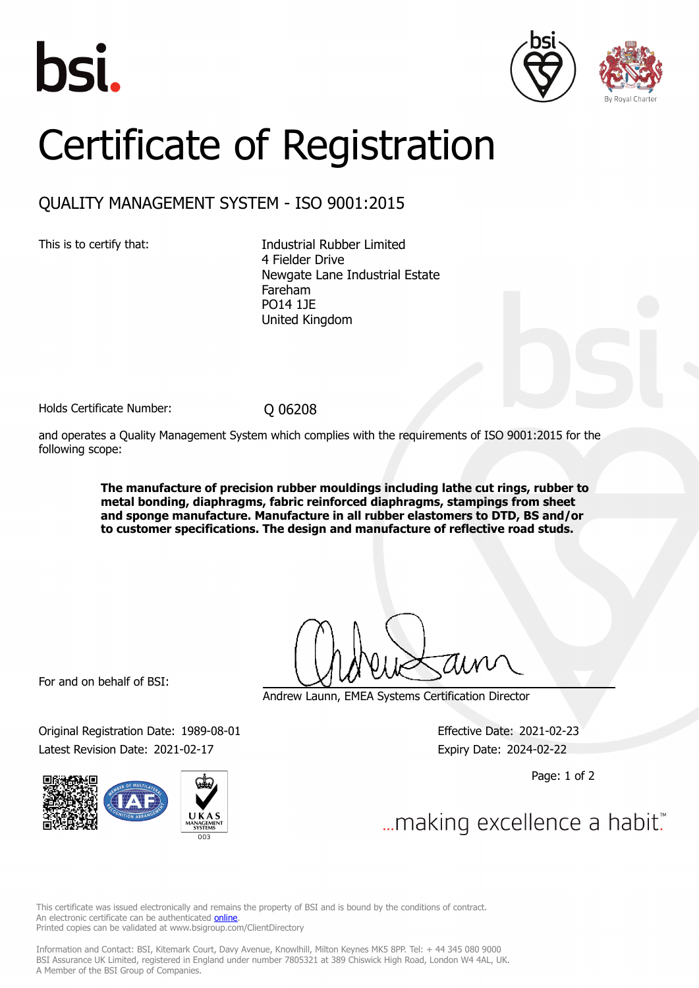





## Certificate of Registration

## QUALITY MANAGEMENT SYSTEM - ISO 9001:2015

This is to certify that: Industrial Rubber Limited 4 Fielder Drive Newgate Lane Industrial Estate Fareham PO14 1JE United Kingdom

Holds Certificate Number: 0 06208

and operates a Quality Management System which complies with the requirements of ISO 9001:2015 for the following scope:

> **The manufacture of precision rubber mouldings including lathe cut rings, rubber to metal bonding, diaphragms, fabric reinforced diaphragms, stampings from sheet and sponge manufacture. Manufacture in all rubber elastomers to DTD, BS and/or to customer specifications. The design and manufacture of reflective road studs.**

For and on behalf of BSI:

Original Registration Date: 1989-08-01 Effective Date: 2021-02-23 Latest Revision Date: 2021-02-17 **Expiry Date: 2024-02-22** 



Andrew Launn, EMEA Systems Certification Director

Page: 1 of 2

... making excellence a habit."

This certificate was issued electronically and remains the property of BSI and is bound by the conditions of contract. An electronic certificate can be authenticated **online**. Printed copies can be validated at www.bsigroup.com/ClientDirectory

Information and Contact: BSI, Kitemark Court, Davy Avenue, Knowlhill, Milton Keynes MK5 8PP. Tel: + 44 345 080 9000 BSI Assurance UK Limited, registered in England under number 7805321 at 389 Chiswick High Road, London W4 4AL, UK. A Member of the BSI Group of Companies.